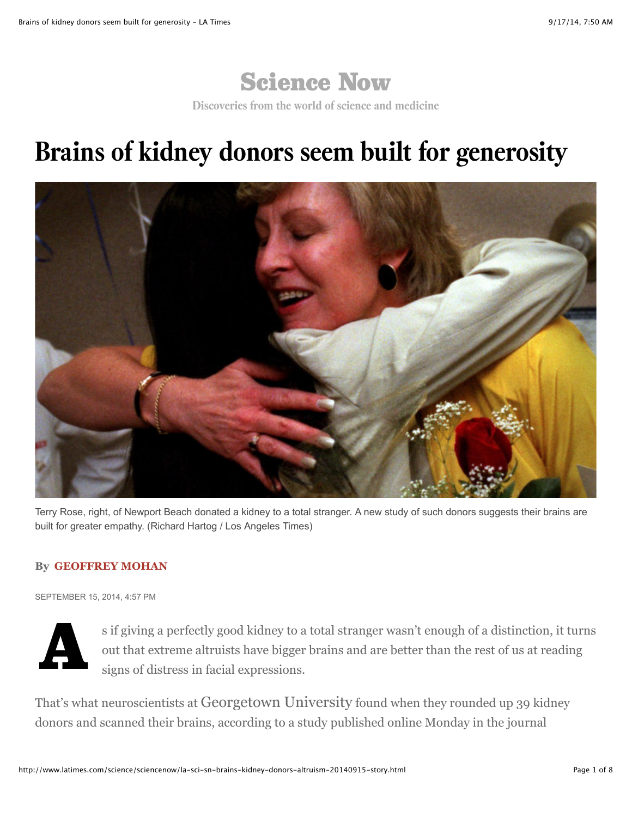

**Discoveries from the world of science and medicine**

## **Brains of kidney donors seem built for generosity**



Terry Rose, right, of Newport Beach donated a kidney to a total stranger. A new study of such donors suggests their brains are built for greater empathy. (Richard Hartog / Los Angeles Times)

## **By [GEOFFREY MOHAN](http://www.latimes.com/la-bio-geoffrey-mohan-staff.html)**

SEPTEMBER 15, 2014, 4:57 PM



s if giving a perfectly good kidney to a total stranger wasn't enough of a distinction, it turns out that extreme altruists have bigger brains and are better than the rest of us at reading signs of distress in facial expressions.

That's what neuroscientists at Georgetown University found when they rounded up 39 kidney donors and scanned their brains, according to a study published online Monday in the journal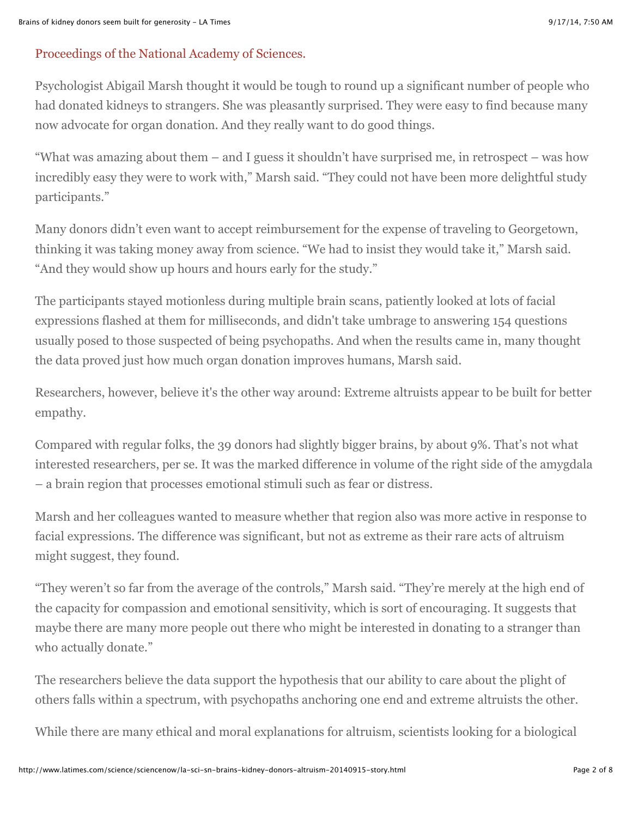## [Proceedings of the National Academy of Sciences.](http://www.pnas.org/cgi/doi/10.1073/pnas.1408440111)

Psychologist Abigail Marsh thought it would be tough to round up a significant number of people who had donated kidneys to strangers. She was pleasantly surprised. They were easy to find because many now advocate for organ donation. And they really want to do good things.

"What was amazing about them – and I guess it shouldn't have surprised me, in retrospect – was how incredibly easy they were to work with," Marsh said. "They could not have been more delightful study participants."

Many donors didn't even want to accept reimbursement for the expense of traveling to Georgetown, thinking it was taking money away from science. "We had to insist they would take it," Marsh said. "And they would show up hours and hours early for the study."

The participants stayed motionless during multiple brain scans, patiently looked at lots of facial expressions flashed at them for milliseconds, and didn't take umbrage to answering 154 questions usually posed to those suspected of being psychopaths. And when the results came in, many thought the data proved just how much organ donation improves humans, Marsh said.

Researchers, however, believe it's the other way around: Extreme altruists appear to be built for better empathy.

Compared with regular folks, the 39 donors had slightly bigger brains, by about 9%. That's not what interested researchers, per se. It was the marked difference in volume of the right side of the amygdala – a brain region that processes emotional stimuli such as fear or distress.

Marsh and her colleagues wanted to measure whether that region also was more active in response to facial expressions. The difference was significant, but not as extreme as their rare acts of altruism might suggest, they found.

"They weren't so far from the average of the controls," Marsh said. "They're merely at the high end of the capacity for compassion and emotional sensitivity, which is sort of encouraging. It suggests that maybe there are many more people out there who might be interested in donating to a stranger than who actually donate."

The researchers believe the data support the hypothesis that our ability to care about the plight of others falls within a spectrum, with psychopaths anchoring one end and extreme altruists the other.

While there are many ethical and moral explanations for altruism, scientists looking for a biological